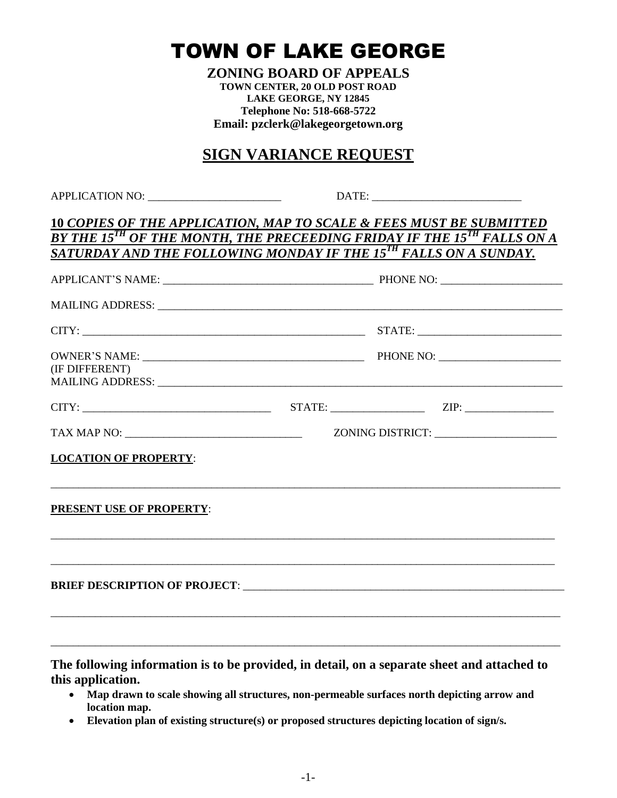TOWN OF LAKE GEORGE

**ZONING BOARD OF APPEALS TOWN CENTER, 20 OLD POST ROAD LAKE GEORGE, NY 12845 Telephone No: 518-668-5722 Email: pzclerk@lakegeorgetown.org**

# **SIGN VARIANCE REQUEST**

APPLICATION NO: \_\_\_\_\_\_\_\_\_\_\_\_\_\_\_\_\_\_\_\_\_\_\_\_ DATE: \_\_\_\_\_\_\_\_\_\_\_\_\_\_\_\_\_\_\_\_\_\_\_\_\_\_\_

## **10** *COPIES OF THE APPLICATION, MAP TO SCALE & FEES MUST BE SUBMITTED BY THE 15TH OF THE MONTH, THE PRECEEDING FRIDAY IF THE 15TH FALLS ON A SATURDAY AND THE FOLLOWING MONDAY IF THE 15TH FALLS ON A SUNDAY.*

| (IF DIFFERENT)                                                                   |  |  |  |  |
|----------------------------------------------------------------------------------|--|--|--|--|
| $CITY:$ $ZIP:$ $ZIP:$ $ZIP:$                                                     |  |  |  |  |
|                                                                                  |  |  |  |  |
| <b>LOCATION OF PROPERTY:</b>                                                     |  |  |  |  |
| <b>PRESENT USE OF PROPERTY:</b>                                                  |  |  |  |  |
|                                                                                  |  |  |  |  |
| 一个人的人,我们就是一个人的人,我们就是一个人的人,我们就是一个人的人,我们就是一个人的人,我们就是一个人的人,我们就是一个人的人,我们就是一个人的人,我们就是 |  |  |  |  |

**The following information is to be provided, in detail, on a separate sheet and attached to this application.**

- **Map drawn to scale showing all structures, non-permeable surfaces north depicting arrow and location map.**
- **Elevation plan of existing structure(s) or proposed structures depicting location of sign/s.**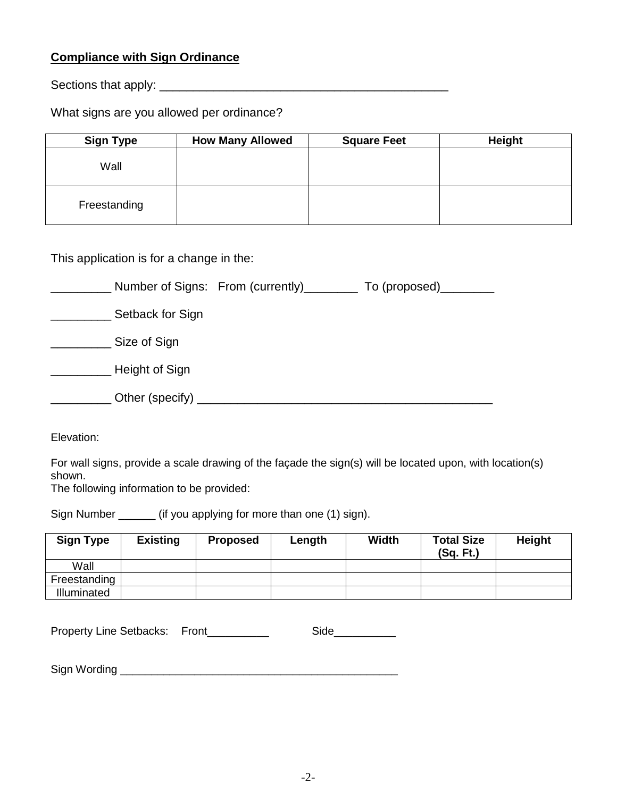## **Compliance with Sign Ordinance**

Sections that apply: \_\_\_\_\_\_\_\_\_\_\_\_\_\_\_\_\_\_\_\_\_\_\_\_\_\_\_\_\_\_\_\_\_\_\_\_\_\_\_\_\_\_\_

What signs are you allowed per ordinance?

| <b>Sign Type</b> | <b>How Many Allowed</b> | <b>Square Feet</b> | <b>Height</b> |
|------------------|-------------------------|--------------------|---------------|
| Wall             |                         |                    |               |
| Freestanding     |                         |                    |               |

This application is for a change in the:

|                  | Number of Signs: From (currently)___________ To (proposed)_________ |  |
|------------------|---------------------------------------------------------------------|--|
| Setback for Sign |                                                                     |  |
| Size of Sign     |                                                                     |  |
| Height of Sign   |                                                                     |  |
| Other (specify)  |                                                                     |  |

Elevation:

For wall signs, provide a scale drawing of the façade the sign(s) will be located upon, with location(s) shown.

The following information to be provided:

Sign Number \_\_\_\_\_\_ (if you applying for more than one (1) sign).

| <b>Sign Type</b> | <b>Existing</b> | <b>Proposed</b> | Length | Width | <b>Total Size</b><br>(Sq. Ft.) | Height |
|------------------|-----------------|-----------------|--------|-------|--------------------------------|--------|
| Wall             |                 |                 |        |       |                                |        |
| Freestanding     |                 |                 |        |       |                                |        |
| Illuminated      |                 |                 |        |       |                                |        |

Property Line Setbacks: Front\_\_\_\_\_\_\_\_\_\_\_\_ Side\_\_\_\_\_\_\_\_\_\_

Sign Wording \_\_\_\_\_\_\_\_\_\_\_\_\_\_\_\_\_\_\_\_\_\_\_\_\_\_\_\_\_\_\_\_\_\_\_\_\_\_\_\_\_\_\_\_\_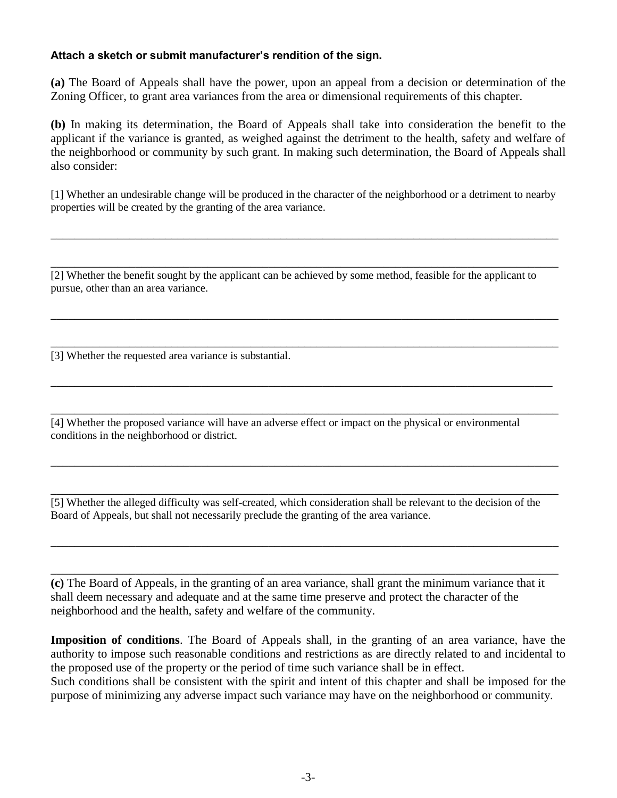#### **Attach a sketch or submit manufacturer's rendition of the sign.**

**(a)** The Board of Appeals shall have the power, upon an appeal from a decision or determination of the Zoning Officer, to grant area variances from the area or dimensional requirements of this chapter.

**(b)** In making its determination, the Board of Appeals shall take into consideration the benefit to the applicant if the variance is granted, as weighed against the detriment to the health, safety and welfare of the neighborhood or community by such grant. In making such determination, the Board of Appeals shall also consider:

[1] Whether an undesirable change will be produced in the character of the neighborhood or a detriment to nearby properties will be created by the granting of the area variance.

\_\_\_\_\_\_\_\_\_\_\_\_\_\_\_\_\_\_\_\_\_\_\_\_\_\_\_\_\_\_\_\_\_\_\_\_\_\_\_\_\_\_\_\_\_\_\_\_\_\_\_\_\_\_\_\_\_\_\_\_\_\_\_\_\_\_\_\_\_\_\_\_\_\_\_\_\_\_\_\_\_\_\_\_

\_\_\_\_\_\_\_\_\_\_\_\_\_\_\_\_\_\_\_\_\_\_\_\_\_\_\_\_\_\_\_\_\_\_\_\_\_\_\_\_\_\_\_\_\_\_\_\_\_\_\_\_\_\_\_\_\_\_\_\_\_\_\_\_\_\_\_\_\_\_\_\_\_\_\_\_\_\_\_\_\_\_\_\_

\_\_\_\_\_\_\_\_\_\_\_\_\_\_\_\_\_\_\_\_\_\_\_\_\_\_\_\_\_\_\_\_\_\_\_\_\_\_\_\_\_\_\_\_\_\_\_\_\_\_\_\_\_\_\_\_\_\_\_\_\_\_\_\_\_\_\_\_\_\_\_\_\_\_\_\_\_\_\_\_\_\_\_\_

\_\_\_\_\_\_\_\_\_\_\_\_\_\_\_\_\_\_\_\_\_\_\_\_\_\_\_\_\_\_\_\_\_\_\_\_\_\_\_\_\_\_\_\_\_\_\_\_\_\_\_\_\_\_\_\_\_\_\_\_\_\_\_\_\_\_\_\_\_\_\_\_\_\_\_\_\_\_\_\_\_\_\_\_

\_\_\_\_\_\_\_\_\_\_\_\_\_\_\_\_\_\_\_\_\_\_\_\_\_\_\_\_\_\_\_\_\_\_\_\_\_\_\_\_\_\_\_\_\_\_\_\_\_\_\_\_\_\_\_\_\_\_\_\_\_\_\_\_\_\_\_\_\_\_\_\_\_\_\_\_\_\_\_\_\_\_\_

[2] Whether the benefit sought by the applicant can be achieved by some method, feasible for the applicant to pursue, other than an area variance.

[3] Whether the requested area variance is substantial.

\_\_\_\_\_\_\_\_\_\_\_\_\_\_\_\_\_\_\_\_\_\_\_\_\_\_\_\_\_\_\_\_\_\_\_\_\_\_\_\_\_\_\_\_\_\_\_\_\_\_\_\_\_\_\_\_\_\_\_\_\_\_\_\_\_\_\_\_\_\_\_\_\_\_\_\_\_\_\_\_\_\_\_\_ [4] Whether the proposed variance will have an adverse effect or impact on the physical or environmental conditions in the neighborhood or district.

[5] Whether the alleged difficulty was self-created, which consideration shall be relevant to the decision of the Board of Appeals, but shall not necessarily preclude the granting of the area variance.

\_\_\_\_\_\_\_\_\_\_\_\_\_\_\_\_\_\_\_\_\_\_\_\_\_\_\_\_\_\_\_\_\_\_\_\_\_\_\_\_\_\_\_\_\_\_\_\_\_\_\_\_\_\_\_\_\_\_\_\_\_\_\_\_\_\_\_\_\_\_\_\_\_\_\_\_\_\_\_\_\_\_\_\_

\_\_\_\_\_\_\_\_\_\_\_\_\_\_\_\_\_\_\_\_\_\_\_\_\_\_\_\_\_\_\_\_\_\_\_\_\_\_\_\_\_\_\_\_\_\_\_\_\_\_\_\_\_\_\_\_\_\_\_\_\_\_\_\_\_\_\_\_\_\_\_\_\_\_\_\_\_\_\_\_\_\_\_\_

\_\_\_\_\_\_\_\_\_\_\_\_\_\_\_\_\_\_\_\_\_\_\_\_\_\_\_\_\_\_\_\_\_\_\_\_\_\_\_\_\_\_\_\_\_\_\_\_\_\_\_\_\_\_\_\_\_\_\_\_\_\_\_\_\_\_\_\_\_\_\_\_\_\_\_\_\_\_\_\_\_\_\_\_

\_\_\_\_\_\_\_\_\_\_\_\_\_\_\_\_\_\_\_\_\_\_\_\_\_\_\_\_\_\_\_\_\_\_\_\_\_\_\_\_\_\_\_\_\_\_\_\_\_\_\_\_\_\_\_\_\_\_\_\_\_\_\_\_\_\_\_\_\_\_\_\_\_\_\_\_\_\_\_\_\_\_\_\_

**(c)** The Board of Appeals, in the granting of an area variance, shall grant the minimum variance that it shall deem necessary and adequate and at the same time preserve and protect the character of the neighborhood and the health, safety and welfare of the community.

**Imposition of conditions**. The Board of Appeals shall, in the granting of an area variance, have the authority to impose such reasonable conditions and restrictions as are directly related to and incidental to the proposed use of the property or the period of time such variance shall be in effect. Such conditions shall be consistent with the spirit and intent of this chapter and shall be imposed for the purpose of minimizing any adverse impact such variance may have on the neighborhood or community.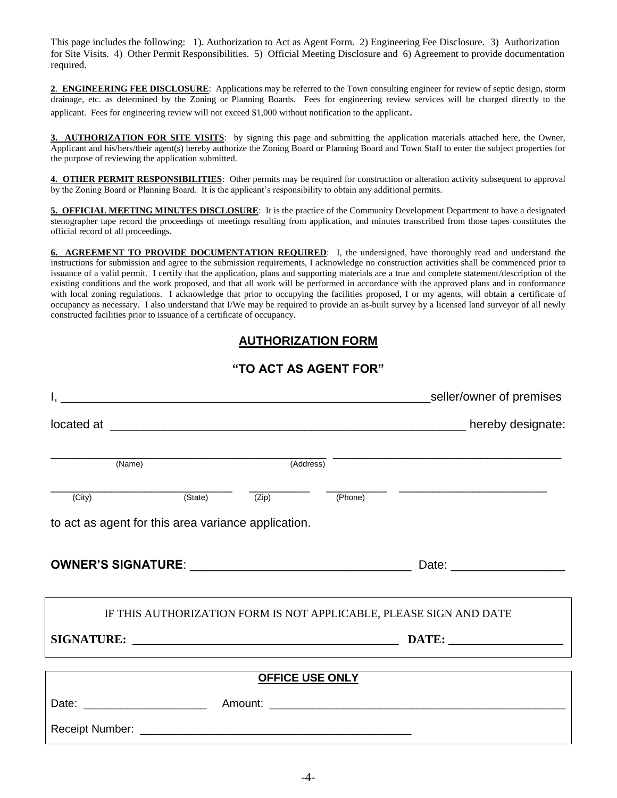This page includes the following: 1). Authorization to Act as Agent Form. 2) Engineering Fee Disclosure. 3) Authorization for Site Visits. 4) Other Permit Responsibilities. 5) Official Meeting Disclosure and 6) Agreement to provide documentation required.

**2**. **ENGINEERING FEE DISCLOSURE**: Applications may be referred to the Town consulting engineer for review of septic design, storm drainage, etc. as determined by the Zoning or Planning Boards. Fees for engineering review services will be charged directly to the applicant. Fees for engineering review will not exceed \$1,000 without notification to the applicant.

**3. AUTHORIZATION FOR SITE VISITS**: by signing this page and submitting the application materials attached here, the Owner, Applicant and his/hers/their agent(s) hereby authorize the Zoning Board or Planning Board and Town Staff to enter the subject properties for the purpose of reviewing the application submitted.

**4. OTHER PERMIT RESPONSIBILITIES**: Other permits may be required for construction or alteration activity subsequent to approval by the Zoning Board or Planning Board. It is the applicant's responsibility to obtain any additional permits.

**5. OFFICIAL MEETING MINUTES DISCLOSURE**: It is the practice of the Community Development Department to have a designated stenographer tape record the proceedings of meetings resulting from application, and minutes transcribed from those tapes constitutes the official record of all proceedings.

**6. AGREEMENT TO PROVIDE DOCUMENTATION REQUIRED**: I, the undersigned, have thoroughly read and understand the instructions for submission and agree to the submission requirements, I acknowledge no construction activities shall be commenced prior to issuance of a valid permit. I certify that the application, plans and supporting materials are a true and complete statement/description of the existing conditions and the work proposed, and that all work will be performed in accordance with the approved plans and in conformance with local zoning regulations. I acknowledge that prior to occupying the facilities proposed, I or my agents, will obtain a certificate of occupancy as necessary. I also understand that I/We may be required to provide an as-built survey by a licensed land surveyor of all newly constructed facilities prior to issuance of a certificate of occupancy.

## **AUTHORIZATION FORM**

### **"TO ACT AS AGENT FOR"**

|                                                     | <u> 1989 - Jan James James James James James James James James James James James James James James James James J</u> |           |         | _seller/owner of premises                                          |
|-----------------------------------------------------|----------------------------------------------------------------------------------------------------------------------|-----------|---------|--------------------------------------------------------------------|
|                                                     |                                                                                                                      |           |         |                                                                    |
|                                                     |                                                                                                                      |           |         |                                                                    |
| (Name)                                              |                                                                                                                      | (Address) |         |                                                                    |
| (City)                                              | (State) (Zip)                                                                                                        |           | (Phone) |                                                                    |
| to act as agent for this area variance application. |                                                                                                                      |           |         |                                                                    |
|                                                     |                                                                                                                      |           |         |                                                                    |
|                                                     |                                                                                                                      |           |         |                                                                    |
|                                                     |                                                                                                                      |           |         | IF THIS AUTHORIZATION FORM IS NOT APPLICABLE, PLEASE SIGN AND DATE |
|                                                     |                                                                                                                      |           |         |                                                                    |
|                                                     |                                                                                                                      |           |         |                                                                    |
| <b>OFFICE USE ONLY</b>                              |                                                                                                                      |           |         |                                                                    |
| Date: ________________________                      |                                                                                                                      |           |         |                                                                    |
|                                                     |                                                                                                                      |           |         |                                                                    |